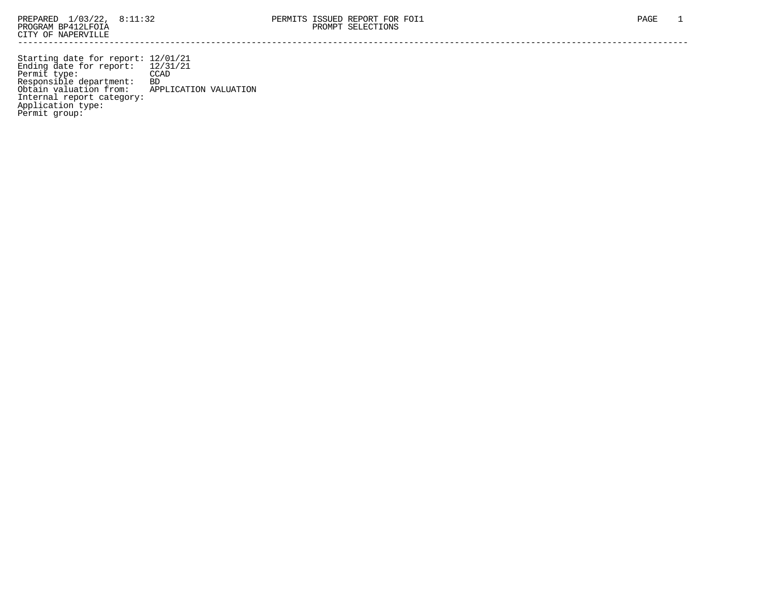Starting date for report: 12/01/21 Ending date for report: 12/31/21 Permit type: CCAD Responsible department: BD Obtain valuation from: APPLICATION VALUATION Internal report category: Application type: Permit group: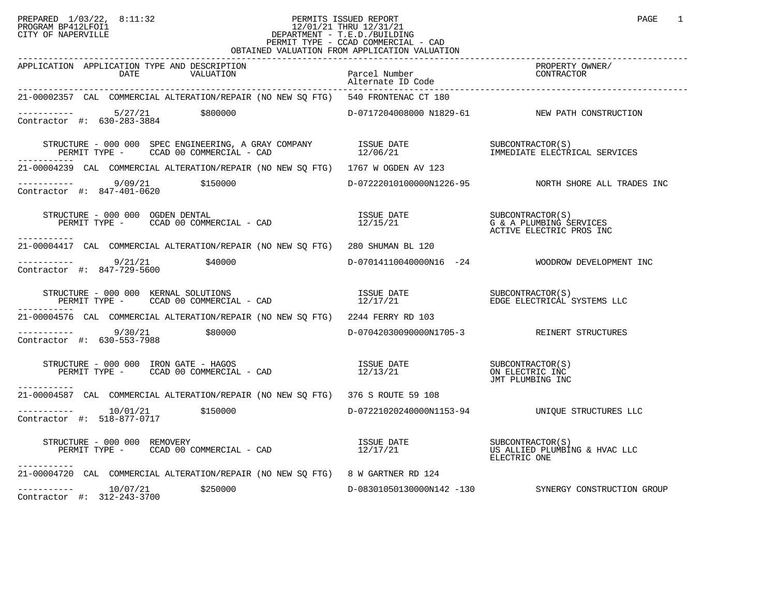## PREPARED 1/03/22, 8:11:32 PERMITS ISSUED REPORT PAGE 1 PROGRAM BP412LFOI1 12/01/21 THRU 12/31/21 CITY OF NAPERVILLE **Example 20** CITY OF NAPERVILLE PERMIT TYPE - CCAD COMMERCIAL - CAD OBTAINED VALUATION FROM APPLICATION VALUATION

| APPLICATION APPLICATION TYPE AND DESCRIPTION<br>DATE<br>VALUATION                                                                                                                            | Parcel Number<br>Parcel Number<br>Alternate ID Code<br>------------ |                                                      |
|----------------------------------------------------------------------------------------------------------------------------------------------------------------------------------------------|---------------------------------------------------------------------|------------------------------------------------------|
| 21-00002357 CAL COMMERCIAL ALTERATION/REPAIR (NO NEW SQ FTG) 540 FRONTENAC CT 180                                                                                                            |                                                                     |                                                      |
| ----------- 5/27/21 \$800000<br>Contractor #: 630-283-3884                                                                                                                                   |                                                                     | D-0717204008000 N1829-61 NEW PATH CONSTRUCTION       |
|                                                                                                                                                                                              |                                                                     |                                                      |
| 21-00004239 CAL COMMERCIAL ALTERATION/REPAIR (NO NEW SQ FTG) 1767 W OGDEN AV 123                                                                                                             |                                                                     |                                                      |
| $\begin{array}{cccc}\n-2 & -2 & -2 & -2 \\ \text{Contractor} & +2 & 847-401-0620 & & 5150000\n\end{array}$                                                                                   |                                                                     | D-07222010100000N1226-95 NORTH SHORE ALL TRADES INC  |
| STRUCTURE - 000 000 OGDEN DENTAL (S)<br>PERMIT TYPE - CCAD 00 COMMERCIAL - CAD (S) SUBCONTRACTOR(S) G & A PLUMBING SERVICES<br>ACTIVE ELECTRIC PROS INC<br>-----------                       |                                                                     |                                                      |
| 21-00004417 CAL COMMERCIAL ALTERATION/REPAIR (NO NEW SO FTG) 280 SHUMAN BL 120                                                                                                               |                                                                     |                                                      |
| $---------$ 9/21/21 \$40000<br>Contractor #: 847-729-5600                                                                                                                                    |                                                                     | $D-07014110040000N16$ $-24$ WOODROW DEVELOPMENT INC  |
| $\begin{array}{cccc} \texttt{STRUCTURE} & - & 000 & 000 & \texttt{KERNAL SOLUTIONS} \\ \texttt{PERMIT TYPE} & - & \texttt{CCAD} & 00 & \texttt{COMERCIAL} & - & \texttt{CAD} \\ \end{array}$ |                                                                     |                                                      |
| 21-00004576 CAL COMMERCIAL ALTERATION/REPAIR (NO NEW SO FTG) 2244 FERRY RD 103                                                                                                               |                                                                     |                                                      |
| $---------$ 9/30/21 \$80000<br>Contractor #: 630-553-7988                                                                                                                                    |                                                                     | D-07042030090000N1705-3 REINERT STRUCTURES           |
| STRUCTURE - 000 000 IRON GATE - HAGOS<br>PERMIT TYPE - CCAD 00 COMMERCIAL - CAD 12/13/21 ON ELECTRIC INC<br>------------                                                                     |                                                                     |                                                      |
| 21-00004587 CAL COMMERCIAL ALTERATION/REPAIR (NO NEW SQ FTG) 376 S ROUTE 59 108                                                                                                              |                                                                     |                                                      |
| $--------- 10/01/21$ \$150000<br>Contractor #: 518-877-0717                                                                                                                                  |                                                                     | D-07221020240000N1153-94 UNIQUE STRUCTURES LLC       |
| FRUCTURE - 000 000 REMOVERY<br>PERMIT TYPE - CCAD 00 COMMERCIAL - CAD 12/17/21 US ALLIED PLUMBING & HVAC LLC<br>STRUCTURE - 000 000 REMOVERY<br>----------                                   |                                                                     | ELECTRIC ONE                                         |
| 21-00004720 CAL COMMERCIAL ALTERATION/REPAIR (NO NEW SQ FTG) 8 W GARTNER RD 124                                                                                                              |                                                                     |                                                      |
| $\begin{array}{ccc}\n-2 & -2 & -2 & -10/07/21 & \text{250000} \\ \text{Contractor} & \text{#:} & 312-243-3700 & \text{250000}\n\end{array}$<br>Contractor #: $312-243-3700$                  |                                                                     | D-08301050130000N142 -130 SYNERGY CONSTRUCTION GROUP |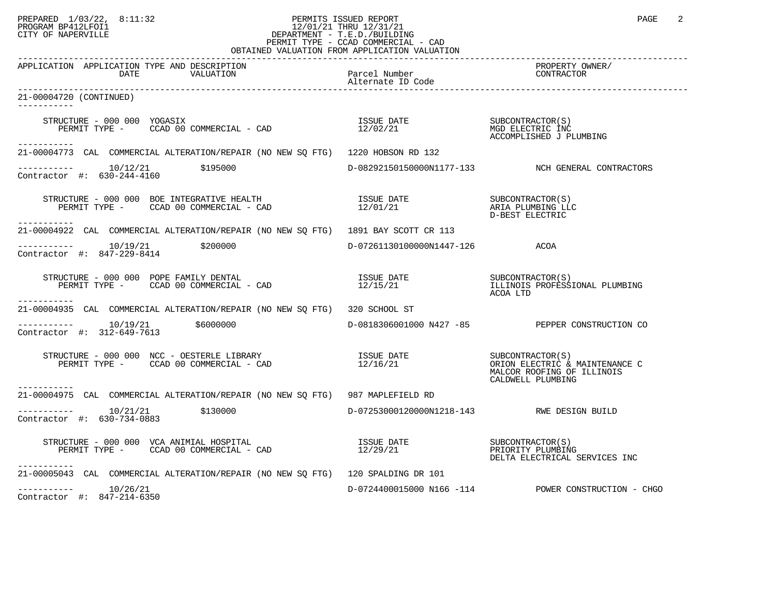## PREPARED 1/03/22, 8:11:32 PERMITS ISSUED REPORT PAGE 2 PROGRAM BP412LFOI1 12/01/21 THRU 12/31/21 CITY OF NAPERVILLE **Example 20** CITY OF NAPERVILLE PERMIT TYPE - CCAD COMMERCIAL - CAD

| OBTAINED VALUATION FROM APPLICATION VALUATION                                                                                                                                                                                                                                                                   |                                            |                                                     |  |
|-----------------------------------------------------------------------------------------------------------------------------------------------------------------------------------------------------------------------------------------------------------------------------------------------------------------|--------------------------------------------|-----------------------------------------------------|--|
| APPLICATION APPLICATION TYPE AND DESCRIPTION<br>VALUATION Parcel Number<br>Alternate ID Code<br>DATE                                                                                                                                                                                                            |                                            | PROPERTY OWNER/<br>CONTRACTOR                       |  |
| 21-00004720 (CONTINUED)<br>-----------                                                                                                                                                                                                                                                                          |                                            |                                                     |  |
| STRUCTURE - 000 000 YOGASIX<br>PERMIT TYPE - CCAD 00 COMMERCIAL - CAD 12/02/21 MGD ELECTRIC INC<br>PERMIT TYPE - CCAD 00 COMMERCIAL - CAD 12/02/21 ACCOMPLISHED J PLUMBING<br>------------                                                                                                                      |                                            |                                                     |  |
| 21-00004773 CAL COMMERCIAL ALTERATION/REPAIR (NO NEW SQ FTG) 1220 HOBSON RD 132                                                                                                                                                                                                                                 |                                            |                                                     |  |
| $\begin{array}{cccc}\n-2 & -2 & -2 & -2 \\ \text{Contractor} & +2 & 630 - 244 - 4160 & & 195000\n\end{array}$                                                                                                                                                                                                   |                                            | D-08292150150000N1177-133 NCH GENERAL CONTRACTORS   |  |
| -----------                                                                                                                                                                                                                                                                                                     |                                            |                                                     |  |
| 21-00004922 CAL COMMERCIAL ALTERATION/REPAIR (NO NEW SO FTG) 1891 BAY SCOTT CR 113                                                                                                                                                                                                                              |                                            |                                                     |  |
| ----------- 10/19/21 \$200000<br>Contractor #: 847-229-8414                                                                                                                                                                                                                                                     | D-07261130100000N1447-126 ACOA             |                                                     |  |
| STRUCTURE - 000 000 POPE FAMILY DENTAL<br>PERMIT TYPE - CCAD 00 COMMERCIAL - CAD                                  12/15/21                            ILLINOIS PROFESSIONAL PLUMBING<br>___________                                                                                                             |                                            | ACOA LTD                                            |  |
| 21-00004935 CAL COMMERCIAL ALTERATION/REPAIR (NO NEW SO FTG) 320 SCHOOL ST                                                                                                                                                                                                                                      |                                            |                                                     |  |
| $------ 10/19/21$ \$6000000<br>Contractor #: 312-649-7613                                                                                                                                                                                                                                                       |                                            | D-0818306001000 N427 -85 PEPPER CONSTRUCTION CO     |  |
| STRUCTURE – 000 000 NCC – OESTERLE LIBRARY                             ISSUE DATE                   SUBCONTRACTOR(S)<br>PERMIT TYPE –      CCAD 00 COMMERCIAL – CAD                             12/16/21<br>-----------                                                                                         |                                            | MALCOR ROOFING OF ILLINOIS<br>CALDWELL PLUMBING     |  |
| 21-00004975 CAL COMMERCIAL ALTERATION/REPAIR (NO NEW SQ FTG) 987 MAPLEFIELD RD                                                                                                                                                                                                                                  |                                            |                                                     |  |
| Contractor #: 630-734-0883                                                                                                                                                                                                                                                                                      | D-07253000120000N1218-143 RWE DESIGN BUILD |                                                     |  |
| $\begin{array}{cccc}\n \text{STRUCTURE} & - & 000 & 000 & \text{VCA ANIMIAL HOSPITAL} \\  \text{PERMIT TYPE} & - & \text{CCAD} & 00 & \text{COMMERCIAL} & - & \text{CAD} & & & & & \\  \text{PERMIT TYPE} & - & \text{CCAD} & 00 & \text{COMMERCIAL} & - & \text{CAD} & & & & & \\  \end{array}$<br>----------- |                                            | DELTA ELECTRICAL SERVICES INC                       |  |
| 21-00005043 CAL COMMERCIAL ALTERATION/REPAIR (NO NEW SQ FTG) 120 SPALDING DR 101                                                                                                                                                                                                                                |                                            |                                                     |  |
| $--------$ 10/26/21<br>Contractor #: 847-214-6350                                                                                                                                                                                                                                                               |                                            | D-0724400015000 N166 -114 POWER CONSTRUCTION - CHGO |  |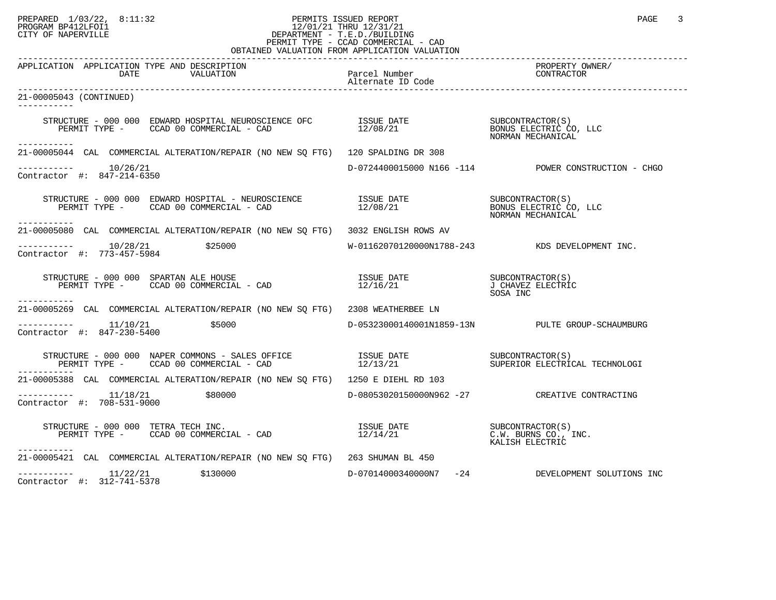## PREPARED 1/03/22, 8:11:32 PERMITS ISSUED REPORT PAGE 3 PROGRAM BP412LFOI1 12/01/21 THRU 12/31/21 CITY OF NAPERVILLE **Example 20** CITY OF NAPERVILLE PERMIT TYPE - CCAD COMMERCIAL - CAD

| OBTAINED VALUATION FROM APPLICATION VALUATION                                                                                                                                                                                     |                                                                              |                                                     |  |
|-----------------------------------------------------------------------------------------------------------------------------------------------------------------------------------------------------------------------------------|------------------------------------------------------------------------------|-----------------------------------------------------|--|
| APPLICATION APPLICATION TYPE AND DESCRIPTION                                                                                                                                                                                      |                                                                              | PROPERTY OWNER/                                     |  |
| 21-00005043 (CONTINUED)<br>-----------                                                                                                                                                                                            |                                                                              |                                                     |  |
| STRUCTURE - 000 000 EDWARD HOSPITAL NEUROSCIENCE OFC         ISSUE DATE                          SUBCONTRACTOR(S)<br>PERMIT TYPE -       CCAD 00 COMMERCIAL - CAD                          12/08/21<br>-----------                |                                                                              |                                                     |  |
| 21-00005044 CAL COMMERCIAL ALTERATION/REPAIR (NO NEW SO FTG) 120 SPALDING DR 308                                                                                                                                                  |                                                                              |                                                     |  |
| $--------- 10/26/21$<br>Contractor #: 847-214-6350                                                                                                                                                                                |                                                                              | D-0724400015000 N166 -114 POWER CONSTRUCTION - CHGO |  |
| . _ _ _ _ _ _ _ _ _ _                                                                                                                                                                                                             |                                                                              | NORMAN MECHANICAL                                   |  |
| 21-00005080 CAL COMMERCIAL ALTERATION/REPAIR (NO NEW SQ FTG) 3032 ENGLISH ROWS AV                                                                                                                                                 |                                                                              |                                                     |  |
| \$25000<br>Contractor #: 773-457-5984                                                                                                                                                                                             |                                                                              | W-01162070120000N1788-243 KDS DEVELOPMENT INC.      |  |
| ------------                                                                                                                                                                                                                      |                                                                              | J CHAVEZ ELECTRIC<br>SOSA INC                       |  |
| 21-00005269 CAL COMMERCIAL ALTERATION/REPAIR (NO NEW SO FTG) 2308 WEATHERBEE LN                                                                                                                                                   |                                                                              |                                                     |  |
| $\frac{11}{100}$<br>\$5000<br>Contractor #: 847-230-5400                                                                                                                                                                          |                                                                              | D-05323000140001N1859-13N PULTE GROUP-SCHAUMBURG    |  |
| STRUCTURE – 000 000 NAPER COMMONS – SALES OFFICE                 ISSUE DATE                  SUBCONTRACTOR(S)<br>PERMIT TYPE –     CCAD 00 COMMERCIAL – CAD                        12/13/21                 SUPERIOR ELECTRICAL T |                                                                              |                                                     |  |
| 21-00005388 CAL COMMERCIAL ALTERATION/REPAIR (NO NEW SQ FTG) 1250 E DIEHL RD 103                                                                                                                                                  |                                                                              |                                                     |  |
| \$80000<br>$\frac{11}{18/21}$<br>Contractor #: 708-531-9000                                                                                                                                                                       |                                                                              | D-08053020150000N962 -27 CREATIVE CONTRACTING       |  |
| STRUCTURE - 000 000 TETRA TECH INC.<br>PERMIT TYPE - CCAD 00 COMMERCIAL - CAD<br>-----------                                                                                                                                      | ISSUE DATE SUBCONTRACTOR(S)<br>12/14/21 C.W. BURNS CO., 1<br>KALISH ELECTRIC | C.W. BURNS CO., INC.<br>KALISH ELECTRIC             |  |
| 21-00005421 CAL COMMERCIAL ALTERATION/REPAIR (NO NEW SQ FTG) 263 SHUMAN BL 450                                                                                                                                                    |                                                                              |                                                     |  |
| $------ 11/22/21$ \$130000<br>Contractor #: 312-741-5378                                                                                                                                                                          | D-07014000340000N7 -24                                                       | DEVELOPMENT SOLUTIONS INC                           |  |